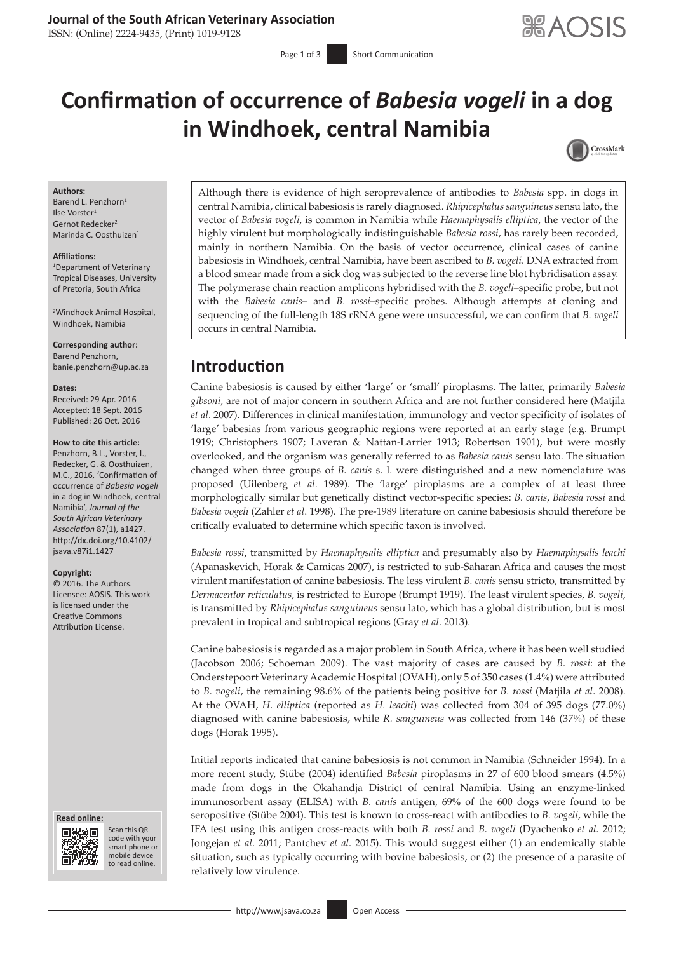### **Journal of the South African Veterinary Association**

ISSN: (Online) 2224-9435, (Print) 1019-9128

# **Confirmation of occurrence of** *Babesia vogeli* **in a dog in Windhoek, central Namibia**



#### **Authors:**

Barend L. Penzhorn<sup>1</sup> Ilse Vorster<sup>1</sup> Gernot Redecker<sup>2</sup> Marinda C. Oosthuizen1

#### **Affiliations:**

1 Department of Veterinary Tropical Diseases, University of Pretoria, South Africa

2 Windhoek Animal Hospital, Windhoek, Namibia

**Corresponding author:** Barend Penzhorn, [banie.penzhorn@up.ac.za](mailto:banie.penzhorn@up.ac.za)

#### **Dates:**

Received: 29 Apr. 2016 Accepted: 18 Sept. 2016 Published: 26 Oct. 2016

### **How to cite this article:**

Penzhorn, B.L., Vorster, I., Redecker, G. & Oosthuizen, M.C., 2016, 'Confirmation of occurrence of *Babesia vogeli* in a dog in Windhoek, central Namibia', *Journal of the South African Veterinary Association* 87(1), a1427. [http://dx.doi.org/10.4102/](http://dx.doi.org/10.4102/jsava.v87i1.1427) [jsava.v87i1.1427](http://dx.doi.org/10.4102/jsava.v87i1.1427)

#### **Copyright:**

© 2016. The Authors. Licensee: AOSIS. This work is licensed under the Creative Commons Attribution License.

#### **Read online: Read**



Scan this QR code with your Scan this QR<br>code with your<br>smart phone or<br>mobile device mobile device to read online. to read online.

Although there is evidence of high seroprevalence of antibodies to *Babesia* spp. in dogs in central Namibia, clinical babesiosis is rarely diagnosed. *Rhipicephalus sanguineus* sensu lato, the vector of *Babesia vogeli*, is common in Namibia while *Haemaphysalis elliptica*, the vector of the highly virulent but morphologically indistinguishable *Babesia rossi*, has rarely been recorded, mainly in northern Namibia. On the basis of vector occurrence, clinical cases of canine babesiosis in Windhoek, central Namibia, have been ascribed to *B. vogeli*. DNA extracted from a blood smear made from a sick dog was subjected to the reverse line blot hybridisation assay. The polymerase chain reaction amplicons hybridised with the *B. vogeli*–specific probe, but not with the *Babesia canis*– and *B. rossi*–specific probes. Although attempts at cloning and sequencing of the full-length 18S rRNA gene were unsuccessful, we can confirm that *B. vogeli* occurs in central Namibia.

# **Introduction**

Canine babesiosis is caused by either 'large' or 'small' piroplasms. The latter, primarily *Babesia gibsoni*, are not of major concern in southern Africa and are not further considered here (Matjila *et al*. 2007). Differences in clinical manifestation, immunology and vector specificity of isolates of 'large' babesias from various geographic regions were reported at an early stage (e.g. Brumpt 1919; Christophers 1907; Laveran & Nattan-Larrier 1913; Robertson 1901), but were mostly overlooked, and the organism was generally referred to as *Babesia canis* sensu lato. The situation changed when three groups of *B. canis* s. l. were distinguished and a new nomenclature was proposed (Uilenberg *et al*. 1989). The 'large' piroplasms are a complex of at least three morphologically similar but genetically distinct vector-specific species: *B. canis*, *Babesia rossi* and *Babesia vogeli* (Zahler *et al*. 1998). The pre-1989 literature on canine babesiosis should therefore be critically evaluated to determine which specific taxon is involved.

*Babesia rossi*, transmitted by *Haemaphysalis elliptica* and presumably also by *Haemaphysalis leachi* (Apanaskevich, Horak & Camicas 2007), is restricted to sub-Saharan Africa and causes the most virulent manifestation of canine babesiosis. The less virulent *B. canis* sensu stricto, transmitted by *Dermacentor reticulatus*, is restricted to Europe (Brumpt 1919). The least virulent species, *B. vogeli*, is transmitted by *Rhipicephalus sanguineus* sensu lato, which has a global distribution, but is most prevalent in tropical and subtropical regions (Gray *et al*. 2013).

Canine babesiosis is regarded as a major problem in South Africa, where it has been well studied (Jacobson 2006; Schoeman 2009). The vast majority of cases are caused by *B. rossi*: at the Onderstepoort Veterinary Academic Hospital (OVAH), only 5 of 350 cases (1.4%) were attributed to *B. vogeli*, the remaining 98.6% of the patients being positive for *B. rossi* (Matjila *et al*. 2008). At the OVAH, *H. elliptica* (reported as *H. leachi*) was collected from 304 of 395 dogs (77.0%) diagnosed with canine babesiosis, while *R. sanguineus* was collected from 146 (37%) of these dogs (Horak 1995).

Initial reports indicated that canine babesiosis is not common in Namibia (Schneider 1994). In a more recent study, Stübe (2004) identified *Babesia* piroplasms in 27 of 600 blood smears (4.5%) made from dogs in the Okahandja District of central Namibia. Using an enzyme-linked immunosorbent assay (ELISA) with *B. canis* antigen, 69% of the 600 dogs were found to be seropositive (Stübe 2004). This test is known to cross-react with antibodies to *B. vogeli*, while the IFA test using this antigen cross-reacts with both *B. rossi* and *B. vogeli* (Dyachenko *et al.* 2012; Jongejan *et al*. 2011; Pantchev *et al*. 2015). This would suggest either (1) an endemically stable situation, such as typically occurring with bovine babesiosis, or (2) the presence of a parasite of relatively low virulence.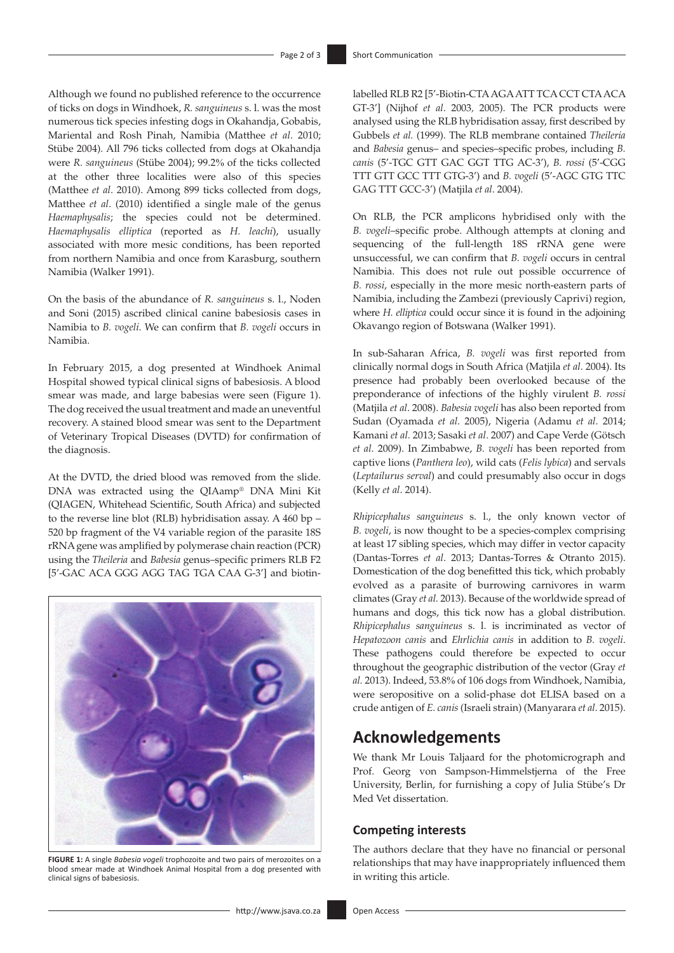Although we found no published reference to the occurrence of ticks on dogs in Windhoek, *R. sanguineus* s. l. was the most numerous tick species infesting dogs in Okahandja, Gobabis, Mariental and Rosh Pinah, Namibia (Matthee *et al*. 2010; Stübe 2004). All 796 ticks collected from dogs at Okahandja were *R. sanguineus* (Stübe 2004); 99.2% of the ticks collected at the other three localities were also of this species (Matthee *et al*. 2010). Among 899 ticks collected from dogs, Matthee *et al*. (2010) identified a single male of the genus *Haemaphysalis*; the species could not be determined. *Haemaphysalis elliptica* (reported as *H. leachi*), usually associated with more mesic conditions, has been reported from northern Namibia and once from Karasburg, southern Namibia (Walker 1991).

On the basis of the abundance of *R. sanguineus* s. l., Noden and Soni (2015) ascribed clinical canine babesiosis cases in Namibia to *B. vogeli*. We can confirm that *B. vogeli* occurs in Namibia.

In February 2015, a dog presented at Windhoek Animal Hospital showed typical clinical signs of babesiosis. A blood smear was made, and large babesias were seen (Figure 1). The dog received the usual treatment and made an uneventful recovery. A stained blood smear was sent to the Department of Veterinary Tropical Diseases (DVTD) for confirmation of the diagnosis.

At the DVTD, the dried blood was removed from the slide. DNA was extracted using the QIAamp® DNA Mini Kit (QIAGEN, Whitehead Scientific, South Africa) and subjected to the reverse line blot (RLB) hybridisation assay. A 460 bp – 520 bp fragment of the V4 variable region of the parasite 18S rRNA gene was amplified by polymerase chain reaction (PCR) using the *Theileria* and *Babesia* genus–specific primers RLB F2 [5'-GAC ACA GGG AGG TAG TGA CAA G-3'] and biotin-



**FIGURE 1:** A single *Babesia vogeli* trophozoite and two pairs of merozoites on a blood smear made at Windhoek Animal Hospital from a dog presented with clinical signs of babesiosis.

labelled RLB R2 [5'-Biotin-CTA AGA ATT TCA CCT CTA ACA GT-3'] (Nijhof *et al*. 2003*,* 2005). The PCR products were analysed using the RLB hybridisation assay, first described by Gubbels *et al.* (1999). The RLB membrane contained *Theileria* and *Babesia* genus– and species–specific probes, including *B. canis* (5'-TGC GTT GAC GGT TTG AC-3'), *B. rossi* (5'-CGG TTT GTT GCC TTT GTG-3') and *B. vogeli* (5'-AGC GTG TTC GAG TTT GCC-3') (Matjila *et al*. 2004).

On RLB, the PCR amplicons hybridised only with the *B. vogeli*–specific probe. Although attempts at cloning and sequencing of the full-length 18S rRNA gene were unsuccessful, we can confirm that *B. vogeli* occurs in central Namibia. This does not rule out possible occurrence of *B. rossi*, especially in the more mesic north-eastern parts of Namibia, including the Zambezi (previously Caprivi) region, where *H. elliptica* could occur since it is found in the adjoining Okavango region of Botswana (Walker 1991).

In sub-Saharan Africa, *B. vogeli* was first reported from clinically normal dogs in South Africa (Matjila *et al*. 2004). Its presence had probably been overlooked because of the preponderance of infections of the highly virulent *B. rossi* (Matjila *et al*. 2008). *Babesia vogeli* has also been reported from Sudan (Oyamada *et al*. 2005), Nigeria (Adamu *et al*. 2014; Kamani *et al.* 2013; Sasaki *et al*. 2007) and Cape Verde (Götsch *et al*. 2009). In Zimbabwe, *B. vogeli* has been reported from captive lions (*Panthera leo*), wild cats (*Felis lybica*) and servals (*Leptailurus serval*) and could presumably also occur in dogs (Kelly *et al*. 2014).

*Rhipicephalus sanguineus* s. l., the only known vector of *B. vogeli*, is now thought to be a species-complex comprising at least 17 sibling species, which may differ in vector capacity (Dantas-Torres *et al*. 2013; Dantas-Torres & Otranto 2015). Domestication of the dog benefitted this tick, which probably evolved as a parasite of burrowing carnivores in warm climates (Gray *et al.* 2013). Because of the worldwide spread of humans and dogs, this tick now has a global distribution. *Rhipicephalus sanguineus* s. l. is incriminated as vector of *Hepatozoon canis* and *Ehrlichia canis* in addition to *B. vogeli*. These pathogens could therefore be expected to occur throughout the geographic distribution of the vector (Gray *et al.* 2013). Indeed, 53.8% of 106 dogs from Windhoek, Namibia, were seropositive on a solid-phase dot ELISA based on a crude antigen of *E. canis* (Israeli strain) (Manyarara *et al*. 2015).

# **Acknowledgements**

We thank Mr Louis Taljaard for the photomicrograph and Prof. Georg von Sampson-Himmelstjerna of the Free University, Berlin, for furnishing a copy of Julia Stübe's Dr Med Vet dissertation.

### **Competing interests**

The authors declare that they have no financial or personal relationships that may have inappropriately influenced them in writing this article.